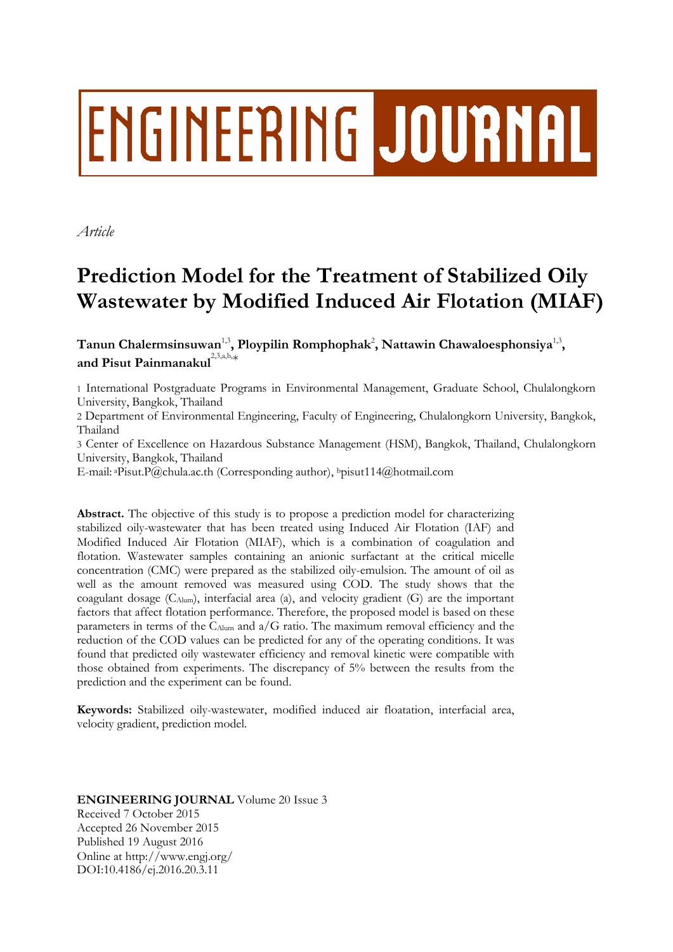# ENGINEERING JOURNAL

*Article*

# **Prediction Model for the Treatment of Stabilized Oily Wastewater by Modified Induced Air Flotation (MIAF)**

 $\boldsymbol{\Gamma}$ anun Chalermsinsuwan $^{1,3}$ , Ploypilin Romphophak $^{2}$ , Nattawin Chawaloesphonsiya $^{1,3}$ , **and Pisut Painmanakul** 2,3,a,b,\*

1 International Postgraduate Programs in Environmental Management, Graduate School, Chulalongkorn University, Bangkok, Thailand

2 Department of Environmental Engineering, Faculty of Engineering, Chulalongkorn University, Bangkok, Thailand

3 Center of Excellence on Hazardous Substance Management (HSM), Bangkok, Thailand, Chulalongkorn University, Bangkok, Thailand

E-mail: <sup>a</sup>Pisut.P@chula.ac.th (Corresponding author), <sup>b</sup>pisut114@hotmail.com

**Abstract.** The objective of this study is to propose a prediction model for characterizing stabilized oily-wastewater that has been treated using Induced Air Flotation (IAF) and Modified Induced Air Flotation (MIAF), which is a combination of coagulation and flotation. Wastewater samples containing an anionic surfactant at the critical micelle concentration (CMC) were prepared as the stabilized oily-emulsion. The amount of oil as well as the amount removed was measured using COD. The study shows that the coagulant dosage  $(C_{\text{Alum}})$ , interfacial area (a), and velocity gradient  $(G)$  are the important factors that affect flotation performance. Therefore, the proposed model is based on these parameters in terms of the  $C_{\text{Alum}}$  and  $a/G$  ratio. The maximum removal efficiency and the reduction of the COD values can be predicted for any of the operating conditions. It was found that predicted oily wastewater efficiency and removal kinetic were compatible with those obtained from experiments. The discrepancy of 5% between the results from the prediction and the experiment can be found.

**Keywords:** Stabilized oily-wastewater, modified induced air floatation, interfacial area, velocity gradient, prediction model.

# **ENGINEERING JOURNAL** Volume 20 Issue 3 Received 7 October 2015 Accepted 26 November 2015 Published 19 August 2016 Online at http://www.engj.org/ DOI:10.4186/ej.2016.20.3.11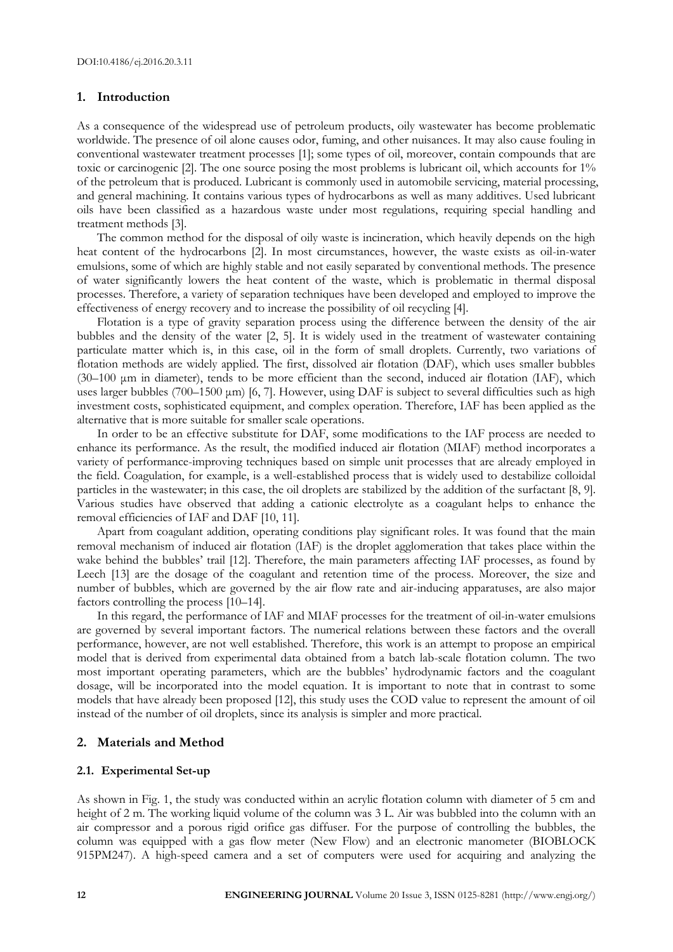# **1. Introduction**

As a consequence of the widespread use of petroleum products, oily wastewater has become problematic worldwide. The presence of oil alone causes odor, fuming, and other nuisances. It may also cause fouling in conventional wastewater treatment processes [1]; some types of oil, moreover, contain compounds that are toxic or carcinogenic [2]. The one source posing the most problems is lubricant oil, which accounts for 1% of the petroleum that is produced. Lubricant is commonly used in automobile servicing, material processing, and general machining. It contains various types of hydrocarbons as well as many additives. Used lubricant oils have been classified as a hazardous waste under most regulations, requiring special handling and treatment methods [3].

The common method for the disposal of oily waste is incineration, which heavily depends on the high heat content of the hydrocarbons [2]. In most circumstances, however, the waste exists as oil-in-water emulsions, some of which are highly stable and not easily separated by conventional methods. The presence of water significantly lowers the heat content of the waste, which is problematic in thermal disposal processes. Therefore, a variety of separation techniques have been developed and employed to improve the effectiveness of energy recovery and to increase the possibility of oil recycling [4].

Flotation is a type of gravity separation process using the difference between the density of the air bubbles and the density of the water [2, 5]. It is widely used in the treatment of wastewater containing particulate matter which is, in this case, oil in the form of small droplets. Currently, two variations of flotation methods are widely applied. The first, dissolved air flotation (DAF), which uses smaller bubbles (30–100 μm in diameter), tends to be more efficient than the second, induced air flotation (IAF), which uses larger bubbles (700–1500 μm) [6, 7]. However, using DAF is subject to several difficulties such as high investment costs, sophisticated equipment, and complex operation. Therefore, IAF has been applied as the alternative that is more suitable for smaller scale operations.

In order to be an effective substitute for DAF, some modifications to the IAF process are needed to enhance its performance. As the result, the modified induced air flotation (MIAF) method incorporates a variety of performance-improving techniques based on simple unit processes that are already employed in the field. Coagulation, for example, is a well-established process that is widely used to destabilize colloidal particles in the wastewater; in this case, the oil droplets are stabilized by the addition of the surfactant [8, 9]. Various studies have observed that adding a cationic electrolyte as a coagulant helps to enhance the removal efficiencies of IAF and DAF [10, 11].

Apart from coagulant addition, operating conditions play significant roles. It was found that the main removal mechanism of induced air flotation (IAF) is the droplet agglomeration that takes place within the wake behind the bubbles' trail [12]. Therefore, the main parameters affecting IAF processes, as found by Leech [13] are the dosage of the coagulant and retention time of the process. Moreover, the size and number of bubbles, which are governed by the air flow rate and air-inducing apparatuses, are also major factors controlling the process [10–14].

In this regard, the performance of IAF and MIAF processes for the treatment of oil-in-water emulsions are governed by several important factors. The numerical relations between these factors and the overall performance, however, are not well established. Therefore, this work is an attempt to propose an empirical model that is derived from experimental data obtained from a batch lab-scale flotation column. The two most important operating parameters, which are the bubbles' hydrodynamic factors and the coagulant dosage, will be incorporated into the model equation. It is important to note that in contrast to some models that have already been proposed [12], this study uses the COD value to represent the amount of oil instead of the number of oil droplets, since its analysis is simpler and more practical.

#### **2. Materials and Method**

#### **2.1. Experimental Set-up**

As shown in Fig. 1, the study was conducted within an acrylic flotation column with diameter of 5 cm and height of 2 m. The working liquid volume of the column was 3 L. Air was bubbled into the column with an air compressor and a porous rigid orifice gas diffuser. For the purpose of controlling the bubbles, the column was equipped with a gas flow meter (New Flow) and an electronic manometer (BIOBLOCK 915PM247). A high-speed camera and a set of computers were used for acquiring and analyzing the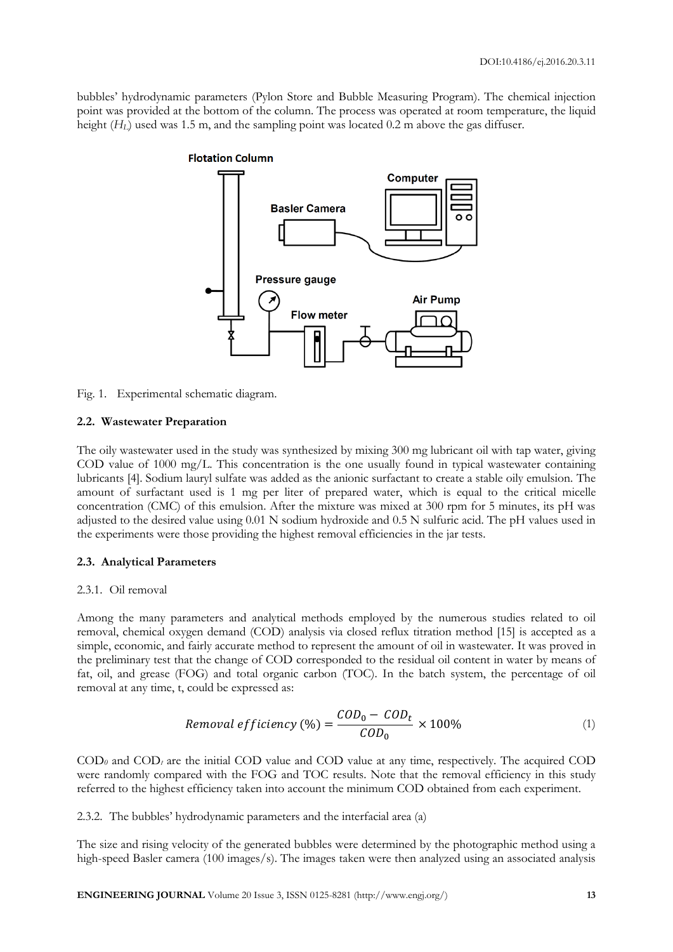bubbles' hydrodynamic parameters (Pylon Store and Bubble Measuring Program). The chemical injection point was provided at the bottom of the column. The process was operated at room temperature, the liquid height ( $H_L$ ) used was 1.5 m, and the sampling point was located 0.2 m above the gas diffuser.



Fig. 1. Experimental schematic diagram.

# **2.2. Wastewater Preparation**

The oily wastewater used in the study was synthesized by mixing 300 mg lubricant oil with tap water, giving COD value of 1000 mg/L. This concentration is the one usually found in typical wastewater containing lubricants [4]. Sodium lauryl sulfate was added as the anionic surfactant to create a stable oily emulsion. The amount of surfactant used is 1 mg per liter of prepared water, which is equal to the critical micelle concentration (CMC) of this emulsion. After the mixture was mixed at 300 rpm for 5 minutes, its pH was adjusted to the desired value using 0.01 N sodium hydroxide and 0.5 N sulfuric acid. The pH values used in the experiments were those providing the highest removal efficiencies in the jar tests.

# **2.3. Analytical Parameters**

# 2.3.1. Oil removal

Among the many parameters and analytical methods employed by the numerous studies related to oil removal, chemical oxygen demand (COD) analysis via closed reflux titration method [15] is accepted as a simple, economic, and fairly accurate method to represent the amount of oil in wastewater. It was proved in the preliminary test that the change of COD corresponded to the residual oil content in water by means of fat, oil, and grease (FOG) and total organic carbon (TOC). In the batch system, the percentage of oil removal at any time, t, could be expressed as:

$$
Removal\,efficiency\,(\%) = \frac{COD_0 - COD_t}{COD_0} \times 100\% \tag{1}
$$

 $\text{COD}_0$  and  $\text{COD}_t$  are the initial COD value and COD value at any time, respectively. The acquired COD were randomly compared with the FOG and TOC results. Note that the removal efficiency in this study referred to the highest efficiency taken into account the minimum COD obtained from each experiment.

2.3.2. The bubbles' hydrodynamic parameters and the interfacial area (a)

The size and rising velocity of the generated bubbles were determined by the photographic method using a high-speed Basler camera (100 images/s). The images taken were then analyzed using an associated analysis

**ENGINEERING JOURNAL** Volume 20 Issue 3, ISSN 0125-8281 (http://www.engj.org/) **13**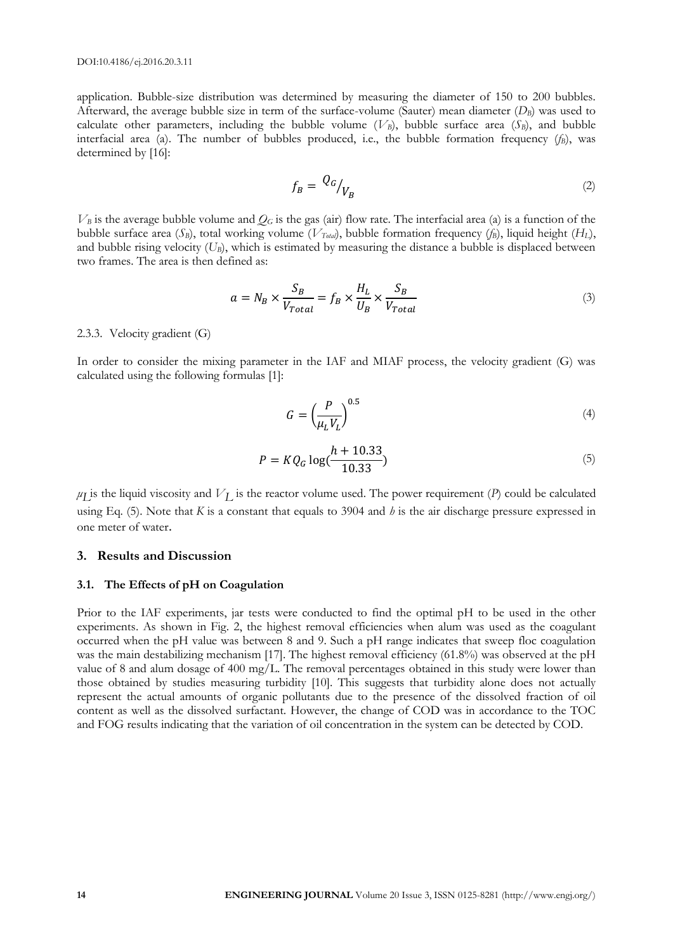application. Bubble-size distribution was determined by measuring the diameter of 150 to 200 bubbles. Afterward, the average bubble size in term of the surface-volume (Sauter) mean diameter (*DB*) was used to calculate other parameters, including the bubble volume  $(V_B)$ , bubble surface area  $(S_B)$ , and bubble interfacial area (a). The number of bubbles produced, i.e., the bubble formation frequency (*fB*), was determined by [16]:

$$
f_B = \left. \frac{Q_G}{V_B} \right| \tag{2}
$$

 $V_B$  is the average bubble volume and  $Q_G$  is the gas (air) flow rate. The interfacial area (a) is a function of the bubble surface area (*SB*), total working volume (*VTotal*), bubble formation frequency (*fB*), liquid height (*HL*), and bubble rising velocity  $(U_B)$ , which is estimated by measuring the distance a bubble is displaced between two frames. The area is then defined as:

$$
a = N_B \times \frac{S_B}{V_{Total}} = f_B \times \frac{H_L}{U_B} \times \frac{S_B}{V_{Total}}
$$
\n(3)

# 2.3.3. Velocity gradient (G)

In order to consider the mixing parameter in the IAF and MIAF process, the velocity gradient (G) was calculated using the following formulas [1]:

$$
G = \left(\frac{P}{\mu_L V_L}\right)^{0.5} \tag{4}
$$

$$
P = KQ_G \log(\frac{h + 10.33}{10.33})
$$
\n(5)

 $\mu$ *L* is the liquid viscosity and  $V_L$  is the reactor volume used. The power requirement (*P*) could be calculated using Eq. (5). Note that *K* is a constant that equals to 3904 and *h* is the air discharge pressure expressed in one meter of water.

#### **3. Results and Discussion**

#### **3.1. The Effects of pH on Coagulation**

Prior to the IAF experiments, jar tests were conducted to find the optimal pH to be used in the other experiments. As shown in Fig. 2, the highest removal efficiencies when alum was used as the coagulant occurred when the pH value was between 8 and 9. Such a pH range indicates that sweep floc coagulation was the main destabilizing mechanism [17]. The highest removal efficiency (61.8%) was observed at the pH value of 8 and alum dosage of 400 mg/L. The removal percentages obtained in this study were lower than those obtained by studies measuring turbidity [10]. This suggests that turbidity alone does not actually represent the actual amounts of organic pollutants due to the presence of the dissolved fraction of oil content as well as the dissolved surfactant. However, the change of COD was in accordance to the TOC and FOG results indicating that the variation of oil concentration in the system can be detected by COD.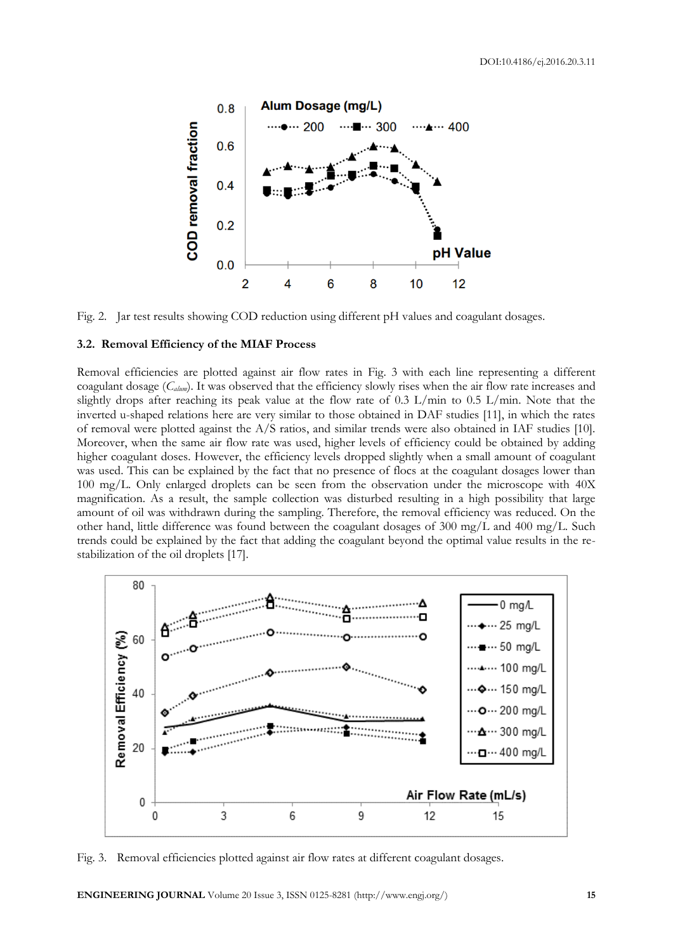

Fig. 2. Jar test results showing COD reduction using different pH values and coagulant dosages.

#### **3.2. Removal Efficiency of the MIAF Process**

Removal efficiencies are plotted against air flow rates in Fig. 3 with each line representing a different coagulant dosage (*Calum*). It was observed that the efficiency slowly rises when the air flow rate increases and slightly drops after reaching its peak value at the flow rate of 0.3 L/min to 0.5 L/min. Note that the inverted u-shaped relations here are very similar to those obtained in DAF studies [11], in which the rates of removal were plotted against the A/S ratios, and similar trends were also obtained in IAF studies [10]. Moreover, when the same air flow rate was used, higher levels of efficiency could be obtained by adding higher coagulant doses. However, the efficiency levels dropped slightly when a small amount of coagulant was used. This can be explained by the fact that no presence of flocs at the coagulant dosages lower than 100 mg/L. Only enlarged droplets can be seen from the observation under the microscope with 40X magnification. As a result, the sample collection was disturbed resulting in a high possibility that large amount of oil was withdrawn during the sampling. Therefore, the removal efficiency was reduced. On the other hand, little difference was found between the coagulant dosages of 300 mg/L and 400 mg/L. Such trends could be explained by the fact that adding the coagulant beyond the optimal value results in the restabilization of the oil droplets [17].



Fig. 3. Removal efficiencies plotted against air flow rates at different coagulant dosages.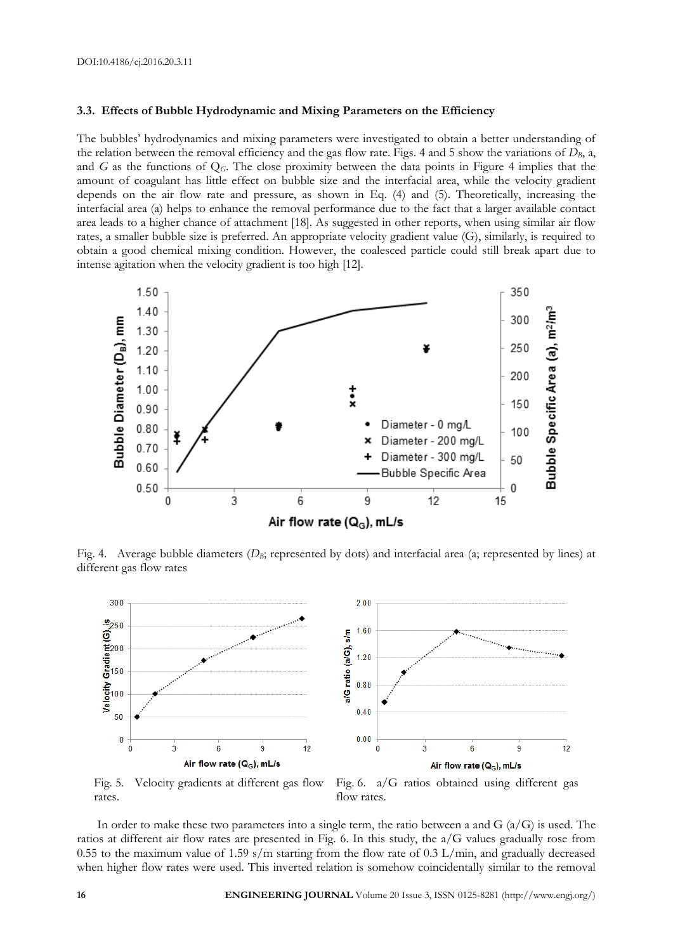#### **3.3. Effects of Bubble Hydrodynamic and Mixing Parameters on the Efficiency**

The bubbles' hydrodynamics and mixing parameters were investigated to obtain a better understanding of the relation between the removal efficiency and the gas flow rate. Figs. 4 and 5 show the variations of  $D_B$ , a, and *G* as the functions of Q*G*. The close proximity between the data points in Figure 4 implies that the amount of coagulant has little effect on bubble size and the interfacial area, while the velocity gradient depends on the air flow rate and pressure, as shown in Eq. (4) and (5). Theoretically, increasing the interfacial area (a) helps to enhance the removal performance due to the fact that a larger available contact area leads to a higher chance of attachment [18]. As suggested in other reports, when using similar air flow rates, a smaller bubble size is preferred. An appropriate velocity gradient value (G), similarly, is required to obtain a good chemical mixing condition. However, the coalesced particle could still break apart due to intense agitation when the velocity gradient is too high [12].



Fig. 4. Average bubble diameters ( $D_B$ ; represented by dots) and interfacial area (a; represented by lines) at different gas flow rates



Fig. 5. Velocity gradients at different gas flow rates.

Fig. 6. a/G ratios obtained using different gas flow rates.

In order to make these two parameters into a single term, the ratio between a and  $G(a/G)$  is used. The ratios at different air flow rates are presented in Fig. 6. In this study, the a/G values gradually rose from 0.55 to the maximum value of 1.59 s/m starting from the flow rate of 0.3 L/min, and gradually decreased when higher flow rates were used. This inverted relation is somehow coincidentally similar to the removal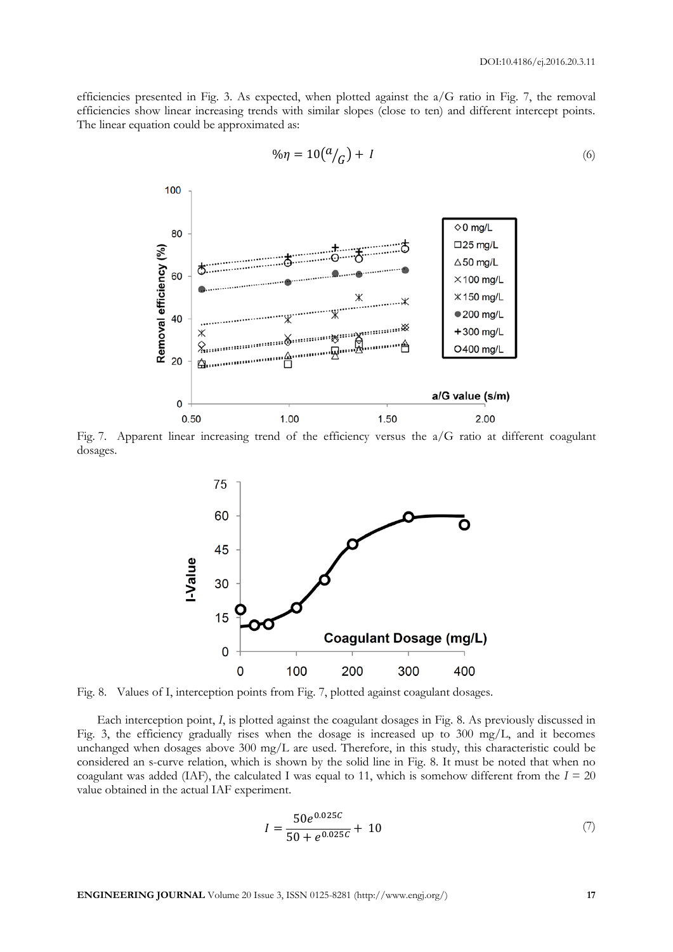efficiencies presented in Fig. 3. As expected, when plotted against the a/G ratio in Fig. 7, the removal efficiencies show linear increasing trends with similar slopes (close to ten) and different intercept points. The linear equation could be approximated as:



$$
\% \eta = 10 \left( \frac{a}{G} \right) + I \tag{6}
$$

Fig. 7. Apparent linear increasing trend of the efficiency versus the a/G ratio at different coagulant dosages.



Fig. 8. Values of I, interception points from Fig. 7, plotted against coagulant dosages.

Each interception point, *I*, is plotted against the coagulant dosages in Fig. 8. As previously discussed in Fig. 3, the efficiency gradually rises when the dosage is increased up to 300 mg/L, and it becomes unchanged when dosages above 300 mg/L are used. Therefore, in this study, this characteristic could be considered an s-curve relation, which is shown by the solid line in Fig. 8. It must be noted that when no coagulant was added (IAF), the calculated I was equal to 11, which is somehow different from the  $I = 20$ value obtained in the actual IAF experiment.

$$
I = \frac{50e^{0.025C}}{50 + e^{0.025C}} + 10
$$
 (7)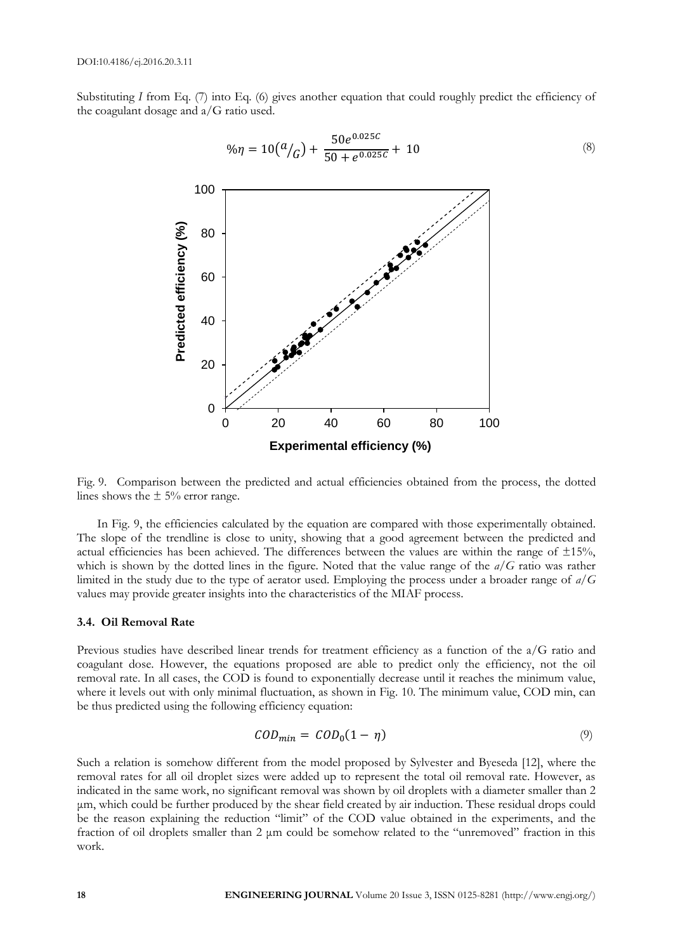Substituting *I* from Eq. (7) into Eq. (6) gives another equation that could roughly predict the efficiency of the coagulant dosage and a/G ratio used.



$$
\% \eta = 10 \left( \frac{a}{G} \right) + \frac{50 e^{0.025C}}{50 + e^{0.025C}} + 10
$$
\n(8)

Fig. 9. Comparison between the predicted and actual efficiencies obtained from the process, the dotted lines shows the  $\pm$  5% error range.

In Fig. 9, the efficiencies calculated by the equation are compared with those experimentally obtained. The slope of the trendline is close to unity, showing that a good agreement between the predicted and actual efficiencies has been achieved. The differences between the values are within the range of  $\pm 15\%$ , which is shown by the dotted lines in the figure. Noted that the value range of the *a/G* ratio was rather limited in the study due to the type of aerator used. Employing the process under a broader range of *a/G* values may provide greater insights into the characteristics of the MIAF process.

#### **3.4. Oil Removal Rate**

Previous studies have described linear trends for treatment efficiency as a function of the a/G ratio and coagulant dose. However, the equations proposed are able to predict only the efficiency, not the oil removal rate. In all cases, the COD is found to exponentially decrease until it reaches the minimum value, where it levels out with only minimal fluctuation, as shown in Fig. 10. The minimum value, COD min, can be thus predicted using the following efficiency equation:

$$
COD_{min} = COD_0(1 - \eta) \tag{9}
$$

Such a relation is somehow different from the model proposed by Sylvester and Byeseda [12], where the removal rates for all oil droplet sizes were added up to represent the total oil removal rate. However, as indicated in the same work, no significant removal was shown by oil droplets with a diameter smaller than 2 μm, which could be further produced by the shear field created by air induction. These residual drops could be the reason explaining the reduction "limit" of the COD value obtained in the experiments, and the fraction of oil droplets smaller than 2 μm could be somehow related to the "unremoved" fraction in this work.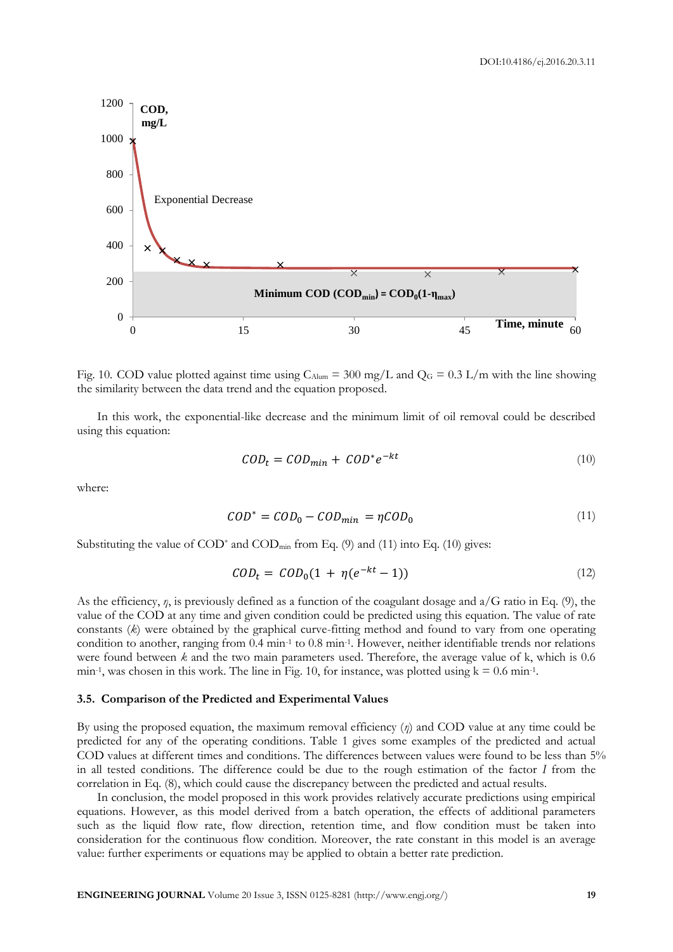

Fig. 10. COD value plotted against time using  $C_{\text{Alum}} = 300$  mg/L and  $Q_G = 0.3$  L/m with the line showing the similarity between the data trend and the equation proposed.

In this work, the exponential-like decrease and the minimum limit of oil removal could be described using this equation:

$$
COD_t = COD_{min} + COD^* e^{-kt}
$$
\n<sup>(10)</sup>

where:

$$
COD^* = COD_0 - COD_{min} = \eta COD_0 \tag{11}
$$

Substituting the value of  $\text{COD}^*$  and  $\text{COD}_{\text{min}}$  from Eq. (9) and (11) into Eq. (10) gives:

$$
COD_t = COD_0 (1 + \eta (e^{-kt} - 1))
$$
\n(12)

As the efficiency, *η*, is previously defined as a function of the coagulant dosage and a/G ratio in Eq. (9), the value of the COD at any time and given condition could be predicted using this equation. The value of rate constants (*k*) were obtained by the graphical curve-fitting method and found to vary from one operating condition to another, ranging from 0.4 min<sup>-1</sup> to 0.8 min<sup>-1</sup>. However, neither identifiable trends nor relations were found between *k* and the two main parameters used. Therefore, the average value of k, which is 0.6 min<sup>-1</sup>, was chosen in this work. The line in Fig. 10, for instance, was plotted using  $k = 0.6$  min<sup>-1</sup>.

# **3.5. Comparison of the Predicted and Experimental Values**

By using the proposed equation, the maximum removal efficiency (*η*) and COD value at any time could be predicted for any of the operating conditions. Table 1 gives some examples of the predicted and actual COD values at different times and conditions. The differences between values were found to be less than 5% in all tested conditions. The difference could be due to the rough estimation of the factor *I* from the correlation in Eq. (8), which could cause the discrepancy between the predicted and actual results.

In conclusion, the model proposed in this work provides relatively accurate predictions using empirical equations. However, as this model derived from a batch operation, the effects of additional parameters such as the liquid flow rate, flow direction, retention time, and flow condition must be taken into consideration for the continuous flow condition. Moreover, the rate constant in this model is an average value: further experiments or equations may be applied to obtain a better rate prediction.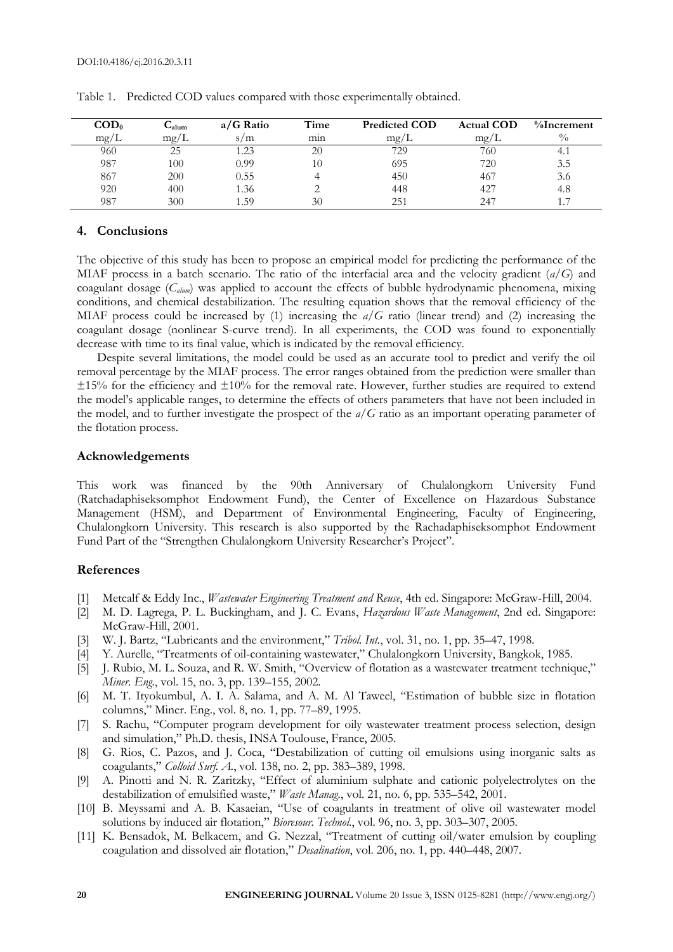| $\mathbf{COD}_{0}$ | $\mathbf{u}_{\text{alum}}$ | $a/G$ Ratio | Time | <b>Predicted COD</b> | <b>Actual COD</b> | $%$ Increment |
|--------------------|----------------------------|-------------|------|----------------------|-------------------|---------------|
| mg/L               | mg/<br>L                   | s/m         | mın  | mp/L                 | mp/L              | $^{0}/_{0}$   |
| 960                | 25                         | 1.23        | 20   | 729                  | 760               | 4. I          |
| 987                | 100                        | 0.99        | 10   | 695                  | 720               | 3.5           |
| 867                | 200                        | 0.55        |      | 450                  | 467               | 3.6           |
| 920                | 400                        | . .36       |      | 448                  | $42-$             | 4.8           |
| 987                | 300                        | .59         | 30   | 251                  | 247               |               |

Table 1. Predicted COD values compared with those experimentally obtained.

# **4. Conclusions**

The objective of this study has been to propose an empirical model for predicting the performance of the MIAF process in a batch scenario. The ratio of the interfacial area and the velocity gradient (*a/G*) and coagulant dosage (*Calum*) was applied to account the effects of bubble hydrodynamic phenomena, mixing conditions, and chemical destabilization. The resulting equation shows that the removal efficiency of the MIAF process could be increased by (1) increasing the *a/G* ratio (linear trend) and (2) increasing the coagulant dosage (nonlinear S-curve trend). In all experiments, the COD was found to exponentially decrease with time to its final value, which is indicated by the removal efficiency.

Despite several limitations, the model could be used as an accurate tool to predict and verify the oil removal percentage by the MIAF process. The error ranges obtained from the prediction were smaller than  $\pm 15\%$  for the efficiency and  $\pm 10\%$  for the removal rate. However, further studies are required to extend the model's applicable ranges, to determine the effects of others parameters that have not been included in the model, and to further investigate the prospect of the *a/G* ratio as an important operating parameter of the flotation process.

# **Acknowledgements**

This work was financed by the 90th Anniversary of Chulalongkorn University Fund (Ratchadaphiseksomphot Endowment Fund), the Center of Excellence on Hazardous Substance Management (HSM), and Department of Environmental Engineering, Faculty of Engineering, Chulalongkorn University. This research is also supported by the Rachadaphiseksomphot Endowment Fund Part of the "Strengthen Chulalongkorn University Researcher's Project".

# **References**

- [1] Metcalf & Eddy Inc., *Wastewater Engineering Treatment and Reuse*, 4th ed. Singapore: McGraw-Hill, 2004.
- [2] M. D. Lagrega, P. L. Buckingham, and J. C. Evans, *Hazardous Waste Management*, 2nd ed. Singapore: McGraw-Hill, 2001.
- [3] W. J. Bartz, "Lubricants and the environment," *Tribol. Int.*, vol. 31, no. 1, pp. 35–47, 1998.
- [4] Y. Aurelle, "Treatments of oil-containing wastewater," Chulalongkorn University, Bangkok, 1985.
- [5] J. Rubio, M. L. Souza, and R. W. Smith, "Overview of flotation as a wastewater treatment technique," *Miner. Eng.*, vol. 15, no. 3, pp. 139–155, 2002.
- [6] M. T. Ityokumbul, A. I. A. Salama, and A. M. Al Taweel, "Estimation of bubble size in flotation columns," Miner. Eng., vol. 8, no. 1, pp. 77–89, 1995.
- [7] S. Rachu, "Computer program development for oily wastewater treatment process selection, design and simulation," Ph.D. thesis, INSA Toulouse, France, 2005.
- [8] G. Rios, C. Pazos, and J. Coca, "Destabilization of cutting oil emulsions using inorganic salts as coagulants," *Colloid Surf. A.*, vol. 138, no. 2, pp. 383–389, 1998.
- [9] A. Pinotti and N. R. Zaritzky, "Effect of aluminium sulphate and cationic polyelectrolytes on the destabilization of emulsified waste," *Waste Manag.*, vol. 21, no. 6, pp. 535–542, 2001.
- [10] B. Meyssami and A. B. Kasaeian, "Use of coagulants in treatment of olive oil wastewater model solutions by induced air flotation," *Bioresour. Technol.*, vol. 96, no. 3, pp. 303–307, 2005.
- [11] K. Bensadok, M. Belkacem, and G. Nezzal, "Treatment of cutting oil/water emulsion by coupling coagulation and dissolved air flotation," *Desalination*, vol. 206, no. 1, pp. 440–448, 2007.